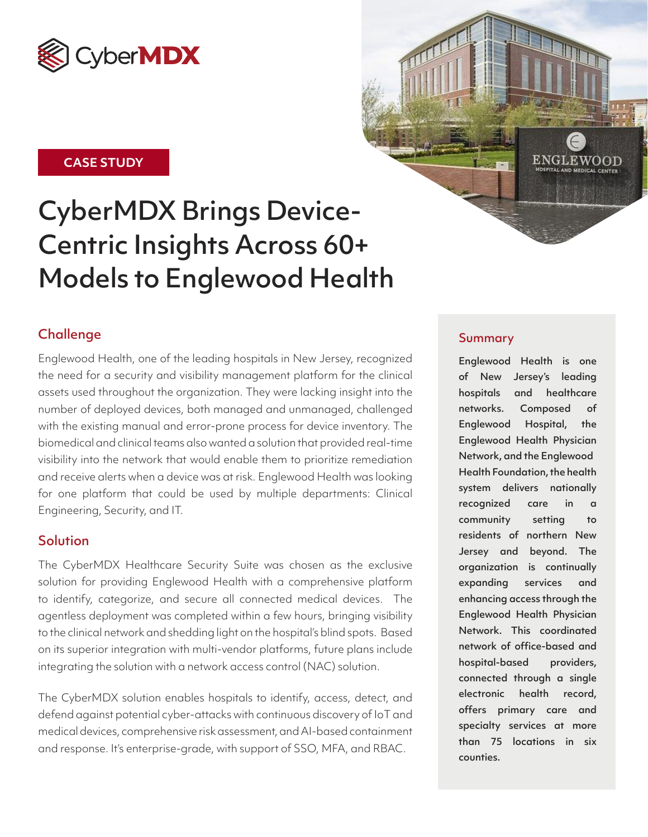

### **CASE STUDY**

# CyberMDX Brings Device-Centric Insights Across 60+ Models to Englewood Health

## **Challenge**

Englewood Health, one of the leading hospitals in New Jersey, recognized the need for a security and visibility management platform for the clinical assets used throughout the organization. They were lacking insight into the number of deployed devices, both managed and unmanaged, challenged with the existing manual and error-prone process for device inventory. The biomedical and clinical teams also wanted a solution that provided real-time visibility into the network that would enable them to prioritize remediation and receive alerts when a device was at risk. Englewood Health was looking for one platform that could be used by multiple departments: Clinical Engineering, Security, and IT.

### **Solution**

The CyberMDX Healthcare Security Suite was chosen as the exclusive solution for providing Englewood Health with a comprehensive platform to identify, categorize, and secure all connected medical devices. The agentless deployment was completed within a few hours, bringing visibility to the clinical network and shedding light on the hospital's blind spots. Based on its superior integration with multi-vendor platforms, future plans include integrating the solution with a network access control (NAC) solution.

The CyberMDX solution enables hospitals to identify, access, detect, and defend against potential cyber-attacks with continuous discovery of IoT and medical devices, comprehensive risk assessment, and AI-based containment and response. It's enterprise-grade, with support of SSO, MFA, and RBAC.



Englewood Health is one of New Jersey's leading hospitals and healthcare networks. Composed of Englewood Hospital, the Englewood Health Physician Network, and the Englewood Health Foundation, the health system delivers nationally recognized care in a community setting to residents of northern New Jersey and beyond. The organization is continually expanding services and enhancing access through the Englewood Health Physician Network. This coordinated network of office-based and hospital-based providers, connected through a single electronic health record, offers primary care and specialty services at more than 75 locations in six counties.

 ${\tt ENGLEWOOD}$